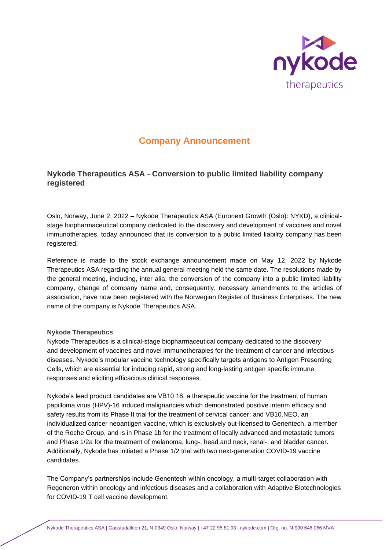

# **Company Announcement**

# **Nykode Therapeutics ASA - Conversion to public limited liability company registered**

Oslo, Norway, June 2, 2022 – Nykode Therapeutics ASA (Euronext Growth (Oslo): NYKD), a clinicalstage biopharmaceutical company dedicated to the discovery and development of vaccines and novel immunotherapies, today announced that its conversion to a public limited liability company has been registered.

Reference is made to the stock exchange announcement made on May 12, 2022 by Nykode Therapeutics ASA regarding the annual general meeting held the same date. The resolutions made by the general meeting, including, inter alia, the conversion of the company into a public limited liability company, change of company name and, consequently, necessary amendments to the articles of association, have now been registered with the Norwegian Register of Business Enterprises. The new name of the company is Nykode Therapeutics ASA.

#### **Nykode Therapeutics**

Nykode Therapeutics is a clinical-stage biopharmaceutical company dedicated to the discovery and development of vaccines and novel immunotherapies for the treatment of cancer and infectious diseases. Nykode's modular vaccine technology specifically targets antigens to Antigen Presenting Cells, which are essential for inducing rapid, strong and long-lasting antigen specific immune responses and eliciting efficacious clinical responses.

Nykode's lead product candidates are VB10.16, a therapeutic vaccine for the treatment of human papilloma virus (HPV)-16 induced malignancies which demonstrated positive interim efficacy and safety results from its Phase II trial for the treatment of cervical cancer; and VB10.NEO, an individualized cancer neoantigen vaccine, which is exclusively out-licensed to Genentech, a member of the Roche Group, and is in Phase 1b for the treatment of locally advanced and metastatic tumors and Phase 1/2a for the treatment of melanoma, lung-, head and neck, renal-, and bladder cancer. Additionally, Nykode has initiated a Phase 1/2 trial with two next-generation COVID-19 vaccine candidates.

The Company's partnerships include Genentech within oncology, a multi-target collaboration with Regeneron within oncology and infectious diseases and a collaboration with Adaptive Biotechnologies for COVID-19 T cell vaccine development.